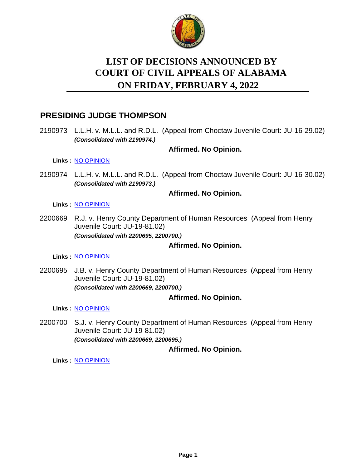

# **LIST OF DECISIONS ANNOUNCED BY ON FRIDAY, FEBRUARY 4, 2022 COURT OF CIVIL APPEALS OF ALABAMA**

# **PRESIDING JUDGE THOMPSON**

2190973 L.L.H. v. M.L.L. and R.D.L. (Appeal from Choctaw Juvenile Court: JU-16-29.02) *(Consolidated with 2190974.)*

### **Affirmed. No Opinion.**

**Links :** [NO OPINION](https://acis.alabama.gov/displaydocs.cfm?no=1118635&event=6990L12BH)

2190974 L.L.H. v. M.L.L. and R.D.L. (Appeal from Choctaw Juvenile Court: JU-16-30.02) *(Consolidated with 2190973.)*

### **Affirmed. No Opinion.**

**Links :** [NO OPINION](https://acis.alabama.gov/displaydocs.cfm?no=1118635&event=6990L12BH)

2200669 R.J. v. Henry County Department of Human Resources (Appeal from Henry Juvenile Court: JU-19-81.02) *(Consolidated with 2200695, 2200700.)*

### **Affirmed. No Opinion.**

**Links :** [NO OPINION](https://acis.alabama.gov/displaydocs.cfm?no=1118637&event=6990L12QA)

2200695 J.B. v. Henry County Department of Human Resources (Appeal from Henry Juvenile Court: JU-19-81.02) *(Consolidated with 2200669, 2200700.)*

### **Affirmed. No Opinion.**

**Links :** [NO OPINION](https://acis.alabama.gov/displaydocs.cfm?no=1118637&event=6990L12QA)

2200700 S.J. v. Henry County Department of Human Resources (Appeal from Henry Juvenile Court: JU-19-81.02) *(Consolidated with 2200669, 2200695.)*

**Affirmed. No Opinion.**

**Links :** [NO OPINION](https://acis.alabama.gov/displaydocs.cfm?no=1118637&event=6990L12QA)